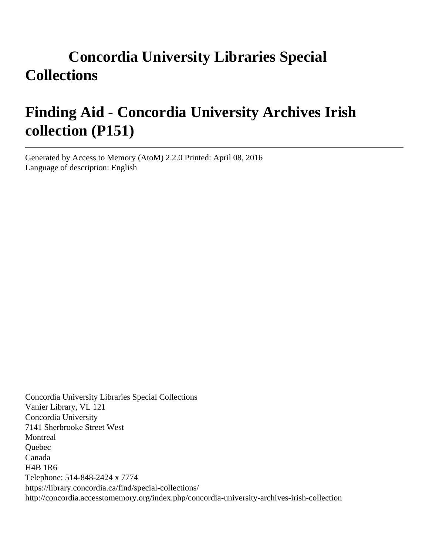# **Concordia University Libraries Special Collections**

# **Finding Aid - Concordia University Archives Irish collection (P151)**

Generated by Access to Memory (AtoM) 2.2.0 Printed: April 08, 2016 Language of description: English

Concordia University Libraries Special Collections Vanier Library, VL 121 Concordia University 7141 Sherbrooke Street West Montreal **Ouebec** Canada H4B 1R6 Telephone: 514-848-2424 x 7774 https://library.concordia.ca/find/special-collections/ http://concordia.accesstomemory.org/index.php/concordia-university-archives-irish-collection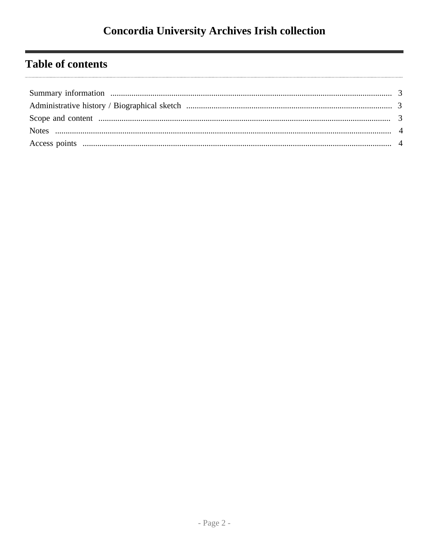# **Table of contents**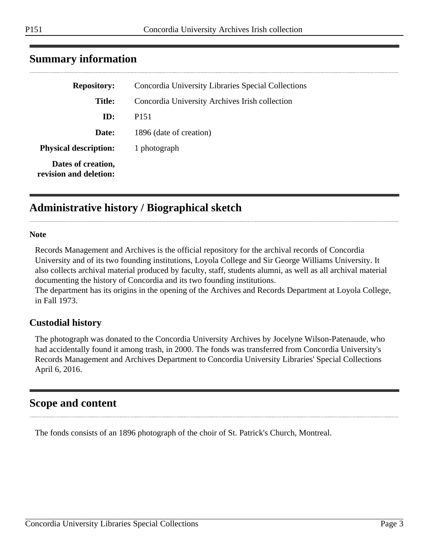| <b>Repository:</b>                           | Concordia University Libraries Special Collections |
|----------------------------------------------|----------------------------------------------------|
| Title:                                       | Concordia University Archives Irish collection     |
| ID:                                          | P <sub>151</sub>                                   |
| Date:                                        | 1896 (date of creation)                            |
| <b>Physical description:</b>                 | 1 photograph                                       |
| Dates of creation,<br>revision and deletion: |                                                    |

## <span id="page-2-0"></span>**Summary information**

## <span id="page-2-1"></span>**Administrative history / Biographical sketch**

#### **Note**

Records Management and Archives is the official repository for the archival records of Concordia University and of its two founding institutions, Loyola College and Sir George Williams University. It also collects archival material produced by faculty, staff, students alumni, as well as all archival material documenting the history of Concordia and its two founding institutions.

The department has its origins in the opening of the Archives and Records Department at Loyola College, in Fall 1973.

#### **Custodial history**

The photograph was donated to the Concordia University Archives by Jocelyne Wilson-Patenaude, who had accidentally found it among trash, in 2000. The fonds was transferred from Concordia University's Records Management and Archives Department to Concordia University Libraries' Special Collections April 6, 2016.

### <span id="page-2-2"></span>**Scope and content**

The fonds consists of an 1896 photograph of the choir of St. Patrick's Church, Montreal.